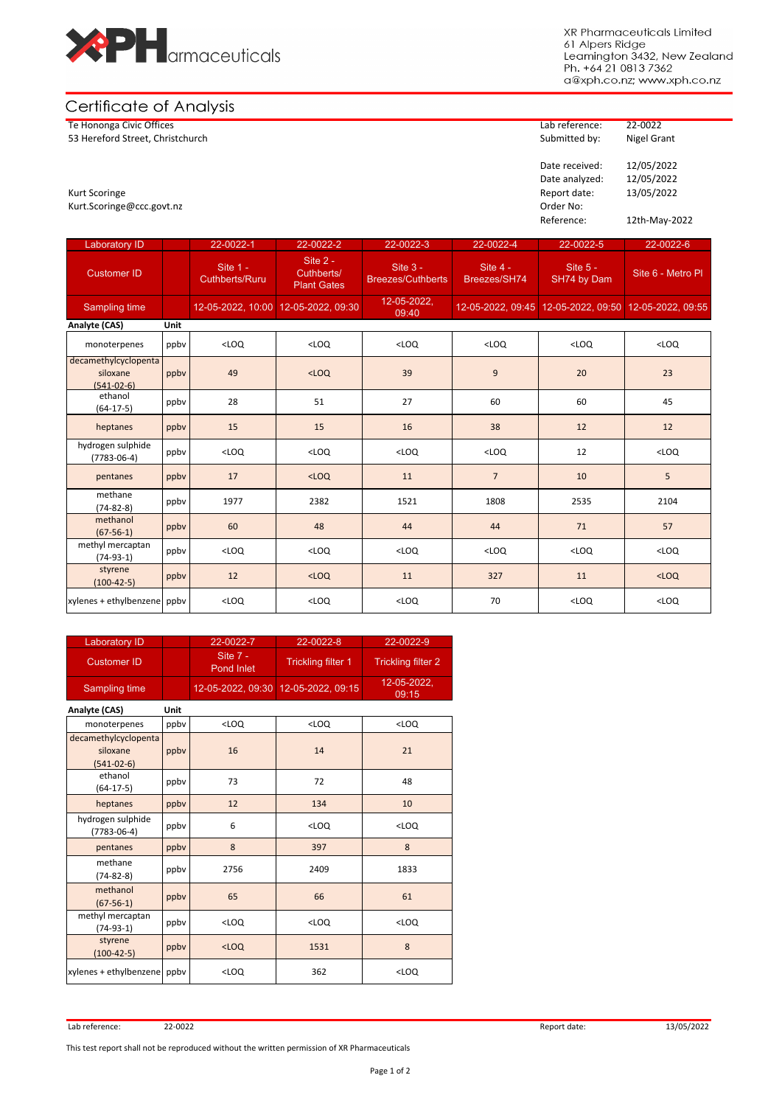

XR Pharmaceuticals Limited 61 Alpers Ridge Leamington 3432, New Zealand<br>Ph. +64 21 0813 7362 a@xph.co.nz; www.xph.co.nz

## Certificate of Analysis

Te Hononga Civic Offices Lab reference: 22-0022 53 Hereford Street, Christchurch

## Date received: 12/05/2022 Date analyzed: 12/05/2022<br>Report date: 13/05/2022 Kurt Scoringe 2012 13/05/2022 Attack the set of the set of the set of the set of the set of the set of the set of the set of the set of the set of the set of the set of the set of the set of the set of the set of the set o Kurt.Scoringe@ccc.govt.nz Order No: Reference: 12th-May-2022

| <b>Laboratory ID</b>                             |             | 22-0022-1                         | 22-0022-2                                    | 22-0022-3                              | 22-0022-4                | 22-0022-5                                             | 22-0022-6         |
|--------------------------------------------------|-------------|-----------------------------------|----------------------------------------------|----------------------------------------|--------------------------|-------------------------------------------------------|-------------------|
| <b>Customer ID</b>                               |             | Site 1 -<br><b>Cuthberts/Ruru</b> | Site 2 -<br>Cuthberts/<br><b>Plant Gates</b> | Site $3 -$<br><b>Breezes/Cuthberts</b> | Site 4 -<br>Breezes/SH74 | Site $5 -$<br>SH74 by Dam                             | Site 6 - Metro PI |
| Sampling time                                    |             | $12 - 05 - 2022, 10:00$           | 12-05-2022, 09:30                            | 12-05-2022.<br>09:40                   |                          | 12-05-2022, 09:45 12-05-2022, 09:50 12-05-2022, 09:55 |                   |
| Analyte (CAS)                                    | <b>Unit</b> |                                   |                                              |                                        |                          |                                                       |                   |
| monoterpenes                                     | ppby        | $<$ LOQ                           | $<$ LOQ                                      | $<$ LOQ                                | $<$ LOQ                  | $<$ LOQ                                               | $<$ LOQ           |
| decamethylcyclopenta<br>siloxane<br>$(541-02-6)$ | ppby        | 49                                | $<$ LOQ                                      | 39                                     | 9                        | 20                                                    | 23                |
| ethanol<br>$(64-17-5)$                           | ppby        | 28                                | 51                                           | 27                                     | 60                       | 60                                                    | 45                |
| heptanes                                         | ppby        | 15                                | 15                                           | 16                                     | 38                       | 12                                                    | 12                |
| hydrogen sulphide<br>$(7783 - 06 - 4)$           | ppby        | $<$ LOQ                           | $<$ LOQ                                      | $<$ LOQ                                | $<$ LOQ                  | 12                                                    | $<$ LOQ           |
| pentanes                                         | ppby        | 17                                | $<$ LOQ                                      | 11                                     | $\overline{7}$           | 10                                                    | 5                 |
| methane<br>$(74-82-8)$                           | ppby        | 1977                              | 2382                                         | 1521                                   | 1808                     | 2535                                                  | 2104              |
| methanol<br>$(67-56-1)$                          | ppby        | 60                                | 48                                           | 44                                     | 44                       | 71                                                    | 57                |
| methyl mercaptan<br>$(74-93-1)$                  | ppby        | $<$ LOQ                           | $<$ LOQ                                      | $<$ LOQ                                | $<$ LOQ                  | $<$ LOQ                                               | $<$ LOQ           |
| styrene<br>$(100-42-5)$                          | ppby        | 12                                | $<$ LOQ                                      | 11                                     | 327                      | 11                                                    | $<$ LOQ           |
| xylenes + ethylbenzene ppby                      |             | $<$ LOQ                           | $<$ LOQ                                      | $<$ LOQ                                | 70                       | $<$ LOQ                                               | $<$ LOQ           |

| <b>Laboratory ID</b>                             |      | 22-0022-7                | 22-0022-8                           | 22-0022-9                 |  |  |  |
|--------------------------------------------------|------|--------------------------|-------------------------------------|---------------------------|--|--|--|
| <b>Customer ID</b>                               |      | Site $7 -$<br>Pond Inlet | <b>Trickling filter 1</b>           | <b>Trickling filter 2</b> |  |  |  |
| Sampling time                                    |      |                          | 12-05-2022, 09:30 12-05-2022, 09:15 | 12-05-2022.<br>09:15      |  |  |  |
| Analyte (CAS)<br>Unit                            |      |                          |                                     |                           |  |  |  |
| monoterpenes                                     | ppby | $<$ LOQ                  | $<$ LOQ                             | $<$ LOQ                   |  |  |  |
| decamethylcyclopenta<br>siloxane<br>$(541-02-6)$ | ppby | 16                       | 14                                  | 21                        |  |  |  |
| ethanol<br>$(64-17-5)$                           | ppby | 73                       | 72                                  | 48                        |  |  |  |
| heptanes                                         | ppby | 12                       | 134                                 | 10                        |  |  |  |
| hydrogen sulphide<br>$(7783 - 06 - 4)$           | ppbv | 6                        | $<$ LOQ                             | $<$ LOQ                   |  |  |  |
| pentanes                                         | ppby | 8                        | 397                                 | 8                         |  |  |  |
| methane<br>$(74-82-8)$                           | ppby | 2756                     | 2409                                | 1833                      |  |  |  |
| methanol<br>$(67-56-1)$                          | ppby | 65                       | 66                                  | 61                        |  |  |  |
| methyl mercaptan<br>$(74-93-1)$                  | ppby | $<$ LOQ                  | $<$ LOQ                             | $<$ LOQ                   |  |  |  |
| styrene<br>$(100-42-5)$                          | ppbv | $<$ LOQ                  | 1531                                | 8                         |  |  |  |
| xylenes + ethylbenzene                           | ppby | $<$ LOQ                  | 362                                 | $<$ LOQ                   |  |  |  |

Lab reference: 22-0022 Report date: 13/05/2022